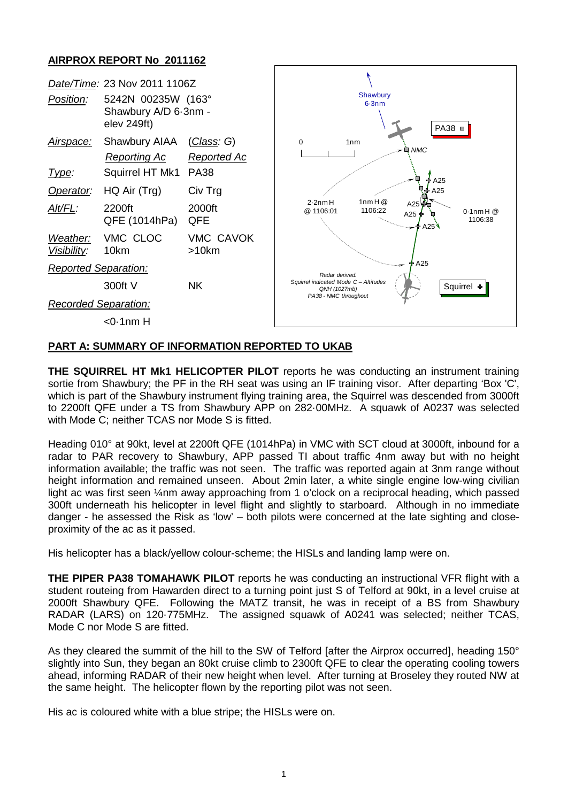## **AIRPROX REPORT No 2011162**



## **PART A: SUMMARY OF INFORMATION REPORTED TO UKAB**

**THE SQUIRREL HT Mk1 HELICOPTER PILOT** reports he was conducting an instrument training sortie from Shawbury; the PF in the RH seat was using an IF training visor. After departing 'Box 'C', which is part of the Shawbury instrument flying training area, the Squirrel was descended from 3000ft to 2200ft QFE under a TS from Shawbury APP on 282·00MHz. A squawk of A0237 was selected with Mode C; neither TCAS nor Mode S is fitted.

Heading 010° at 90kt, level at 2200ft QFE (1014hPa) in VMC with SCT cloud at 3000ft, inbound for a radar to PAR recovery to Shawbury, APP passed TI about traffic 4nm away but with no height information available; the traffic was not seen. The traffic was reported again at 3nm range without height information and remained unseen. About 2min later, a white single engine low-wing civilian light ac was first seen 1/4nm away approaching from 1 o'clock on a reciprocal heading, which passed 300ft underneath his helicopter in level flight and slightly to starboard. Although in no immediate danger - he assessed the Risk as 'low' – both pilots were concerned at the late sighting and closeproximity of the ac as it passed.

His helicopter has a black/yellow colour-scheme; the HISLs and landing lamp were on.

**THE PIPER PA38 TOMAHAWK PILOT** reports he was conducting an instructional VFR flight with a student routeing from Hawarden direct to a turning point just S of Telford at 90kt, in a level cruise at 2000ft Shawbury QFE. Following the MATZ transit, he was in receipt of a BS from Shawbury RADAR (LARS) on 120·775MHz. The assigned squawk of A0241 was selected; neither TCAS, Mode C nor Mode S are fitted.

As they cleared the summit of the hill to the SW of Telford [after the Airprox occurred], heading 150° slightly into Sun, they began an 80kt cruise climb to 2300ft QFE to clear the operating cooling towers ahead, informing RADAR of their new height when level. After turning at Broseley they routed NW at the same height. The helicopter flown by the reporting pilot was not seen.

His ac is coloured white with a blue stripe; the HISLs were on.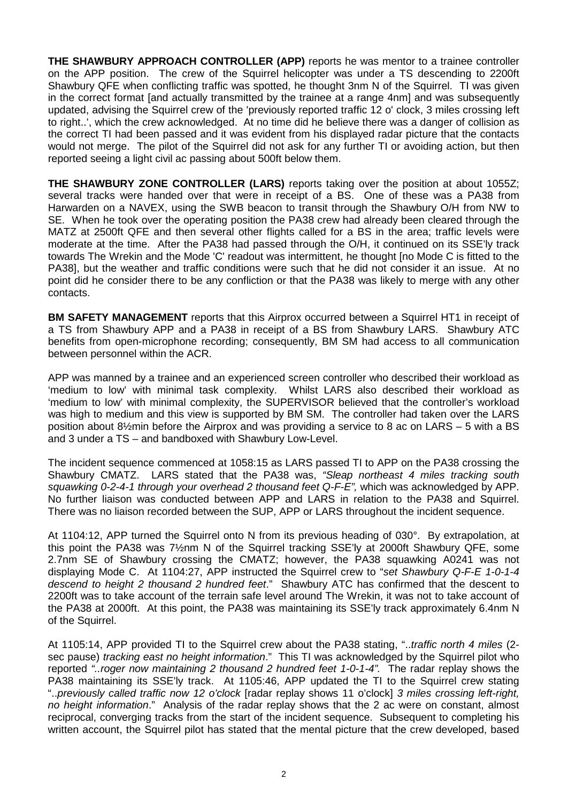**THE SHAWBURY APPROACH CONTROLLER (APP)** reports he was mentor to a trainee controller on the APP position. The crew of the Squirrel helicopter was under a TS descending to 2200ft Shawbury QFE when conflicting traffic was spotted, he thought 3nm N of the Squirrel. TI was given in the correct format [and actually transmitted by the trainee at a range 4nm] and was subsequently updated, advising the Squirrel crew of the 'previously reported traffic 12 o' clock, 3 miles crossing left to right..', which the crew acknowledged. At no time did he believe there was a danger of collision as the correct TI had been passed and it was evident from his displayed radar picture that the contacts would not merge. The pilot of the Squirrel did not ask for any further TI or avoiding action, but then reported seeing a light civil ac passing about 500ft below them.

**THE SHAWBURY ZONE CONTROLLER (LARS)** reports taking over the position at about 1055Z; several tracks were handed over that were in receipt of a BS. One of these was a PA38 from Harwarden on a NAVEX, using the SWB beacon to transit through the Shawbury O/H from NW to SE. When he took over the operating position the PA38 crew had already been cleared through the MATZ at 2500ft QFE and then several other flights called for a BS in the area; traffic levels were moderate at the time. After the PA38 had passed through the O/H, it continued on its SSE'ly track towards The Wrekin and the Mode 'C' readout was intermittent, he thought [no Mode C is fitted to the PA38], but the weather and traffic conditions were such that he did not consider it an issue. At no point did he consider there to be any confliction or that the PA38 was likely to merge with any other contacts.

**BM SAFETY MANAGEMENT** reports that this Airprox occurred between a Squirrel HT1 in receipt of a TS from Shawbury APP and a PA38 in receipt of a BS from Shawbury LARS. Shawbury ATC benefits from open-microphone recording; consequently, BM SM had access to all communication between personnel within the ACR.

APP was manned by a trainee and an experienced screen controller who described their workload as 'medium to low' with minimal task complexity. Whilst LARS also described their workload as 'medium to low' with minimal complexity, the SUPERVISOR believed that the controller's workload was high to medium and this view is supported by BM SM. The controller had taken over the LARS position about 8½min before the Airprox and was providing a service to 8 ac on LARS – 5 with a BS and 3 under a TS – and bandboxed with Shawbury Low-Level.

The incident sequence commenced at 1058:15 as LARS passed TI to APP on the PA38 crossing the Shawbury CMATZ. LARS stated that the PA38 was, *"Sleap northeast 4 miles tracking south squawking 0-2-4-1 through your overhead 2 thousand feet Q-F-E",* which was acknowledged by APP. No further liaison was conducted between APP and LARS in relation to the PA38 and Squirrel. There was no liaison recorded between the SUP, APP or LARS throughout the incident sequence.

At 1104:12, APP turned the Squirrel onto N from its previous heading of 030°. By extrapolation, at this point the PA38 was 7½nm N of the Squirrel tracking SSE'ly at 2000ft Shawbury QFE, some 2.7nm SE of Shawbury crossing the CMATZ; however, the PA38 squawking A0241 was not displaying Mode C. At 1104:27, APP instructed the Squirrel crew to "*set Shawbury Q-F-E 1-0-1-4 descend to height 2 thousand 2 hundred feet*." Shawbury ATC has confirmed that the descent to 2200ft was to take account of the terrain safe level around The Wrekin, it was not to take account of the PA38 at 2000ft. At this point, the PA38 was maintaining its SSE'ly track approximately 6.4nm N of the Squirrel.

At 1105:14, APP provided TI to the Squirrel crew about the PA38 stating, "..*traffic north 4 miles* (2 sec pause) *tracking east no height information*." This TI was acknowledged by the Squirrel pilot who reported *"..roger now maintaining 2 thousand 2 hundred feet 1-0-1-4".* The radar replay shows the PA38 maintaining its SSE'ly track. At 1105:46, APP updated the TI to the Squirrel crew stating "..*previously called traffic now 12 o'clock* [radar replay shows 11 o'clock] *3 miles crossing left-right, no height information*." Analysis of the radar replay shows that the 2 ac were on constant, almost reciprocal, converging tracks from the start of the incident sequence. Subsequent to completing his written account, the Squirrel pilot has stated that the mental picture that the crew developed, based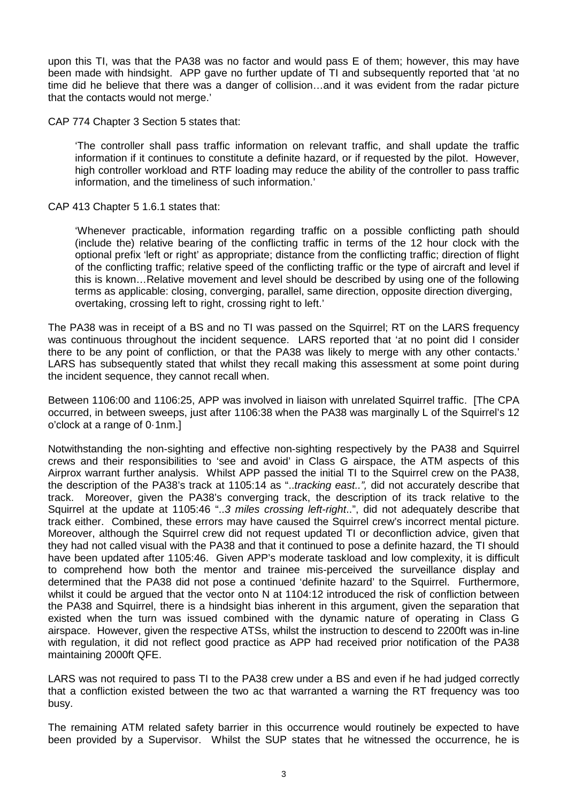upon this TI, was that the PA38 was no factor and would pass E of them; however, this may have been made with hindsight. APP gave no further update of TI and subsequently reported that 'at no time did he believe that there was a danger of collision…and it was evident from the radar picture that the contacts would not merge.'

CAP 774 Chapter 3 Section 5 states that:

'The controller shall pass traffic information on relevant traffic, and shall update the traffic information if it continues to constitute a definite hazard, or if requested by the pilot. However, high controller workload and RTF loading may reduce the ability of the controller to pass traffic information, and the timeliness of such information.'

CAP 413 Chapter 5 1.6.1 states that:

'Whenever practicable, information regarding traffic on a possible conflicting path should (include the) relative bearing of the conflicting traffic in terms of the 12 hour clock with the optional prefix 'left or right' as appropriate; distance from the conflicting traffic; direction of flight of the conflicting traffic; relative speed of the conflicting traffic or the type of aircraft and level if this is known…Relative movement and level should be described by using one of the following terms as applicable: closing, converging, parallel, same direction, opposite direction diverging, overtaking, crossing left to right, crossing right to left.'

The PA38 was in receipt of a BS and no TI was passed on the Squirrel; RT on the LARS frequency was continuous throughout the incident sequence. LARS reported that 'at no point did I consider there to be any point of confliction, or that the PA38 was likely to merge with any other contacts.' LARS has subsequently stated that whilst they recall making this assessment at some point during the incident sequence, they cannot recall when.

Between 1106:00 and 1106:25, APP was involved in liaison with unrelated Squirrel traffic. [The CPA occurred, in between sweeps, just after 1106:38 when the PA38 was marginally L of the Squirrel's 12 o'clock at a range of 0·1nm.]

Notwithstanding the non-sighting and effective non-sighting respectively by the PA38 and Squirrel crews and their responsibilities to 'see and avoid' in Class G airspace, the ATM aspects of this Airprox warrant further analysis. Whilst APP passed the initial TI to the Squirrel crew on the PA38, the description of the PA38's track at 1105:14 as "..*tracking east..",* did not accurately describe that track. Moreover, given the PA38's converging track, the description of its track relative to the Squirrel at the update at 1105:46 "..*3 miles crossing left-right*..", did not adequately describe that track either. Combined, these errors may have caused the Squirrel crew's incorrect mental picture. Moreover, although the Squirrel crew did not request updated TI or deconfliction advice, given that they had not called visual with the PA38 and that it continued to pose a definite hazard, the TI should have been updated after 1105:46. Given APP's moderate taskload and low complexity, it is difficult to comprehend how both the mentor and trainee mis-perceived the surveillance display and determined that the PA38 did not pose a continued 'definite hazard' to the Squirrel. Furthermore, whilst it could be argued that the vector onto N at 1104:12 introduced the risk of confliction between the PA38 and Squirrel, there is a hindsight bias inherent in this argument, given the separation that existed when the turn was issued combined with the dynamic nature of operating in Class G airspace. However, given the respective ATSs, whilst the instruction to descend to 2200ft was in-line with regulation, it did not reflect good practice as APP had received prior notification of the PA38 maintaining 2000ft QFE.

LARS was not required to pass TI to the PA38 crew under a BS and even if he had judged correctly that a confliction existed between the two ac that warranted a warning the RT frequency was too busy.

The remaining ATM related safety barrier in this occurrence would routinely be expected to have been provided by a Supervisor. Whilst the SUP states that he witnessed the occurrence, he is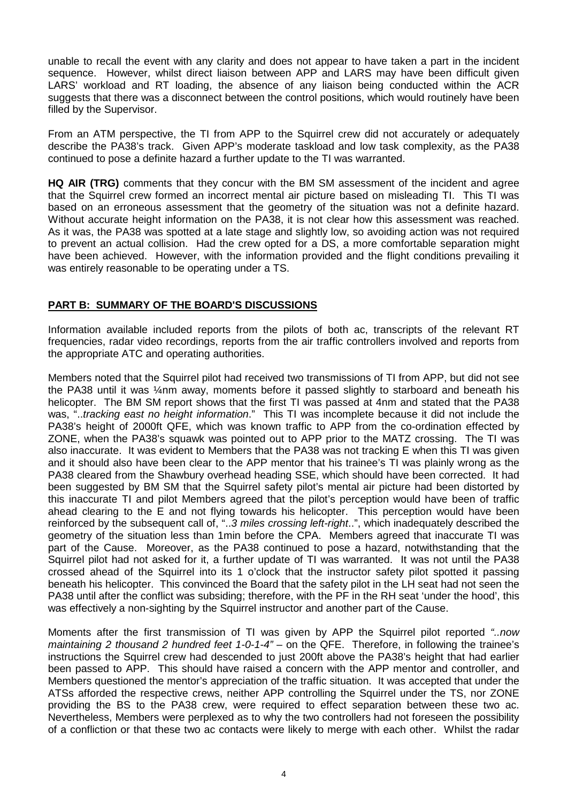unable to recall the event with any clarity and does not appear to have taken a part in the incident sequence. However, whilst direct liaison between APP and LARS may have been difficult given LARS' workload and RT loading, the absence of any liaison being conducted within the ACR suggests that there was a disconnect between the control positions, which would routinely have been filled by the Supervisor.

From an ATM perspective, the TI from APP to the Squirrel crew did not accurately or adequately describe the PA38's track. Given APP's moderate taskload and low task complexity, as the PA38 continued to pose a definite hazard a further update to the TI was warranted.

**HQ AIR (TRG)** comments that they concur with the BM SM assessment of the incident and agree that the Squirrel crew formed an incorrect mental air picture based on misleading TI. This TI was based on an erroneous assessment that the geometry of the situation was not a definite hazard. Without accurate height information on the PA38, it is not clear how this assessment was reached. As it was, the PA38 was spotted at a late stage and slightly low, so avoiding action was not required to prevent an actual collision. Had the crew opted for a DS, a more comfortable separation might have been achieved. However, with the information provided and the flight conditions prevailing it was entirely reasonable to be operating under a TS.

## **PART B: SUMMARY OF THE BOARD'S DISCUSSIONS**

Information available included reports from the pilots of both ac, transcripts of the relevant RT frequencies, radar video recordings, reports from the air traffic controllers involved and reports from the appropriate ATC and operating authorities.

Members noted that the Squirrel pilot had received two transmissions of TI from APP, but did not see the PA38 until it was ¼nm away, moments before it passed slightly to starboard and beneath his helicopter. The BM SM report shows that the first TI was passed at 4nm and stated that the PA38 was, "..*tracking east no height information*." This TI was incomplete because it did not include the PA38's height of 2000ft QFE, which was known traffic to APP from the co-ordination effected by ZONE, when the PA38's squawk was pointed out to APP prior to the MATZ crossing. The TI was also inaccurate. It was evident to Members that the PA38 was not tracking E when this TI was given and it should also have been clear to the APP mentor that his trainee's TI was plainly wrong as the PA38 cleared from the Shawbury overhead heading SSE, which should have been corrected. It had been suggested by BM SM that the Squirrel safety pilot's mental air picture had been distorted by this inaccurate TI and pilot Members agreed that the pilot's perception would have been of traffic ahead clearing to the E and not flying towards his helicopter. This perception would have been reinforced by the subsequent call of, "..*3 miles crossing left-right*..", which inadequately described the geometry of the situation less than 1min before the CPA. Members agreed that inaccurate TI was part of the Cause. Moreover, as the PA38 continued to pose a hazard, notwithstanding that the Squirrel pilot had not asked for it, a further update of TI was warranted. It was not until the PA38 crossed ahead of the Squirrel into its 1 o'clock that the instructor safety pilot spotted it passing beneath his helicopter. This convinced the Board that the safety pilot in the LH seat had not seen the PA38 until after the conflict was subsiding; therefore, with the PF in the RH seat 'under the hood', this was effectively a non-sighting by the Squirrel instructor and another part of the Cause.

Moments after the first transmission of TI was given by APP the Squirrel pilot reported *"..now maintaining 2 thousand 2 hundred feet 1-0-1-4"* – on the QFE.Therefore, in following the trainee's instructions the Squirrel crew had descended to just 200ft above the PA38's height that had earlier been passed to APP. This should have raised a concern with the APP mentor and controller, and Members questioned the mentor's appreciation of the traffic situation. It was accepted that under the ATSs afforded the respective crews, neither APP controlling the Squirrel under the TS, nor ZONE providing the BS to the PA38 crew, were required to effect separation between these two ac. Nevertheless, Members were perplexed as to why the two controllers had not foreseen the possibility of a confliction or that these two ac contacts were likely to merge with each other. Whilst the radar